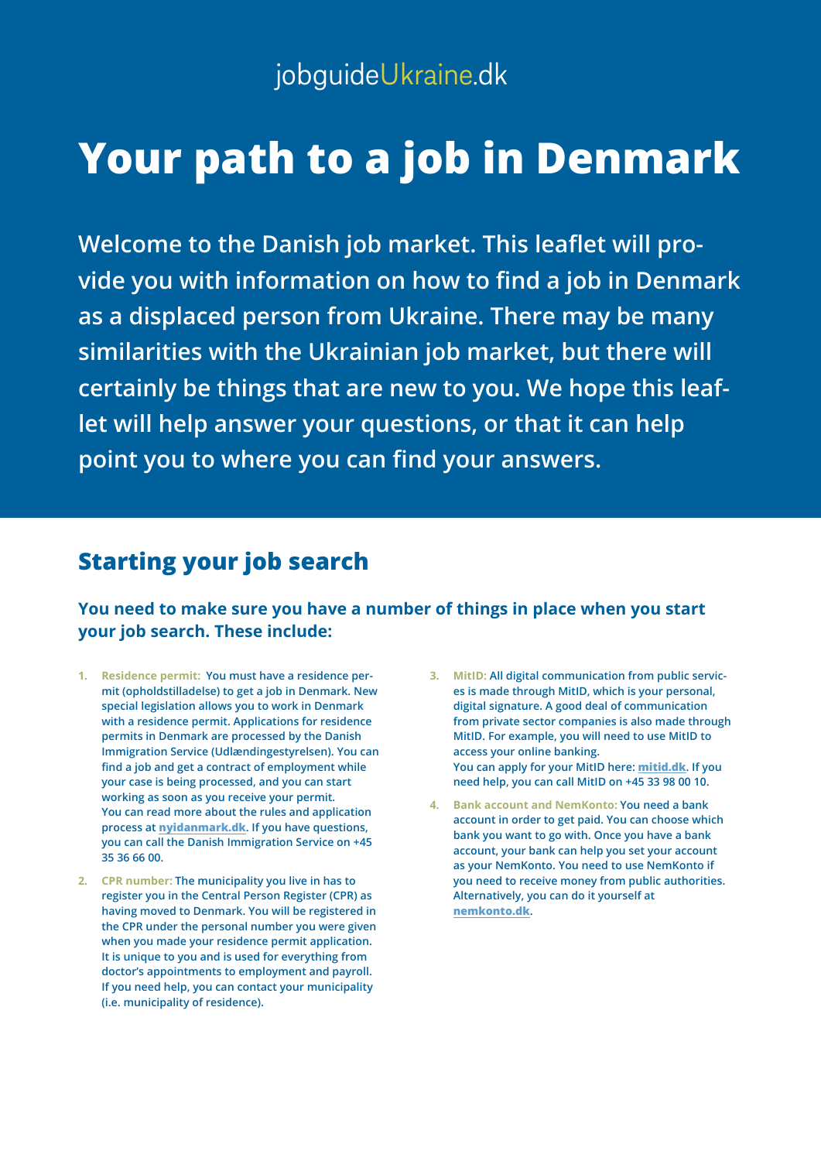# **Your path to a job in Denmark**

**Welcome to the Danish job market. This leaflet will provide you with information on how to find a job in Denmark as a displaced person from Ukraine. There may be many similarities with the Ukrainian job market, but there will certainly be things that are new to you. We hope this leaflet will help answer your questions, or that it can help point you to where you can find your answers.**

### **Starting your job search**

**You need to make sure you have a number of things in place when you start your job search. These include:**

- **1. Residence permit: You must have a residence permit (opholdstilladelse) to get a job in Denmark. New special legislation allows you to work in Denmark with a residence permit. Applications for residence permits in Denmark are processed by the Danish Immigration Service (Udlændingestyrelsen). You can find a job and get a contract of employment while your case is being processed, and you can start working as soon as you receive your permit. You can read more about the rules and application process at [nyidanmark.dk](https://nyidanmark.dk/en-GB). If you have questions, you can call the Danish Immigration Service on +45 35 36 66 00.**
- **2. CPR number: The municipality you live in has to register you in the Central Person Register (CPR) as having moved to Denmark. You will be registered in the CPR under the personal number you were given when you made your residence permit application. It is unique to you and is used for everything from doctor's appointments to employment and payroll. If you need help, you can contact your municipality (i.e. municipality of residence).**
- **3. MitID: All digital communication from public services is made through MitID, which is your personal, digital signature. A good deal of communication from private sector companies is also made through MitID. For example, you will need to use MitID to access your online banking. You can apply for your MitID here: [mitid.dk](https://www.mitid.dk/en-gb/?language=en-gb). If you need help, you can call MitID on +45 33 98 00 10.**
- **4. Bank account and NemKonto: You need a bank account in order to get paid. You can choose which bank you want to go with. Once you have a bank account, your bank can help you set your account as your NemKonto. You need to use NemKonto if you need to receive money from public authorities. Alternatively, you can do it yourself at [nemkonto.dk](https://nemkonto.dk/Servicemenu/Engelsk).**